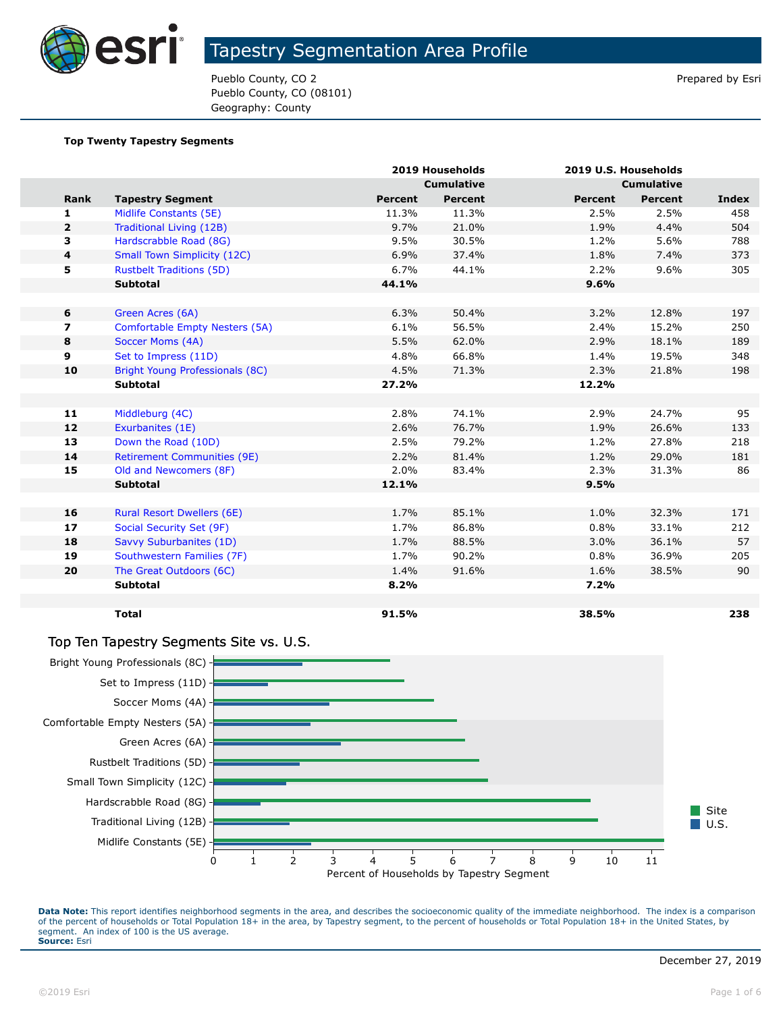

Pueblo County, CO 2 **Prepared by Esri** Pueblo County, CO 2 **Prepared by Esri** Pueblo County, CO (08101) Geography: County

#### **Top Twenty Tapestry Segments**

|                         |                                    | 2019 Households |                   | 2019 U.S. Households |                |              |
|-------------------------|------------------------------------|-----------------|-------------------|----------------------|----------------|--------------|
|                         |                                    |                 | <b>Cumulative</b> | <b>Cumulative</b>    |                |              |
| Rank                    | <b>Tapestry Segment</b>            | <b>Percent</b>  | <b>Percent</b>    | <b>Percent</b>       | <b>Percent</b> | <b>Index</b> |
| 1                       | Midlife Constants (5E)             | 11.3%           | 11.3%             | 2.5%                 | 2.5%           | 458          |
| $\overline{2}$          | Traditional Living (12B)           | 9.7%            | 21.0%             | 1.9%                 | 4.4%           | 504          |
| 3                       | Hardscrabble Road (8G)             | 9.5%            | 30.5%             | 1.2%                 | 5.6%           | 788          |
| 4                       | <b>Small Town Simplicity (12C)</b> | 6.9%            | 37.4%             | 1.8%                 | 7.4%           | 373          |
| 5                       | <b>Rustbelt Traditions (5D)</b>    | 6.7%            | 44.1%             | 2.2%                 | 9.6%           | 305          |
|                         | <b>Subtotal</b>                    | 44.1%           |                   | 9.6%                 |                |              |
|                         |                                    |                 |                   |                      |                |              |
| 6                       | Green Acres (6A)                   | 6.3%            | 50.4%             | 3.2%                 | 12.8%          | 197          |
| $\overline{\mathbf{z}}$ | Comfortable Empty Nesters (5A)     | 6.1%            | 56.5%             | 2.4%                 | 15.2%          | 250          |
| 8                       | Soccer Moms (4A)                   | 5.5%            | 62.0%             | 2.9%                 | 18.1%          | 189          |
| 9                       | Set to Impress (11D)               | 4.8%            | 66.8%             | 1.4%                 | 19.5%          | 348          |
| 10                      | Bright Young Professionals (8C)    | 4.5%            | 71.3%             | 2.3%                 | 21.8%          | 198          |
|                         | <b>Subtotal</b>                    | 27.2%           |                   | 12.2%                |                |              |
|                         |                                    |                 |                   |                      |                |              |
| 11                      | Middleburg (4C)                    | 2.8%            | 74.1%             | 2.9%                 | 24.7%          | 95           |
| 12                      | Exurbanites (1E)                   | 2.6%            | 76.7%             | 1.9%                 | 26.6%          | 133          |
| 13                      | Down the Road (10D)                | 2.5%            | 79.2%             | 1.2%                 | 27.8%          | 218          |
| 14                      | <b>Retirement Communities (9E)</b> | 2.2%            | 81.4%             | 1.2%                 | 29.0%          | 181          |
| 15                      | Old and Newcomers (8F)             | 2.0%            | 83.4%             | 2.3%                 | 31.3%          | 86           |
|                         | <b>Subtotal</b>                    | 12.1%           |                   | 9.5%                 |                |              |
|                         |                                    |                 |                   |                      |                |              |
| 16                      | <b>Rural Resort Dwellers (6E)</b>  | 1.7%            | 85.1%             | 1.0%                 | 32.3%          | 171          |
| 17                      | Social Security Set (9F)           | 1.7%            | 86.8%             | 0.8%                 | 33.1%          | 212          |
| 18                      | Savvy Suburbanites (1D)            | 1.7%            | 88.5%             | 3.0%                 | 36.1%          | 57           |
| 19                      | Southwestern Families (7F)         | 1.7%            | 90.2%             | 0.8%                 | 36.9%          | 205          |
| 20                      | The Great Outdoors (6C)            | 1.4%            | 91.6%             | 1.6%                 | 38.5%          | 90           |
|                         | <b>Subtotal</b>                    | 8.2%            |                   | 7.2%                 |                |              |
|                         |                                    |                 |                   |                      |                |              |
|                         | <b>Total</b>                       | 91.5%           |                   | 38.5%                |                | 238          |

#### Top Ten Tapestry Segments Site vs. U.S.

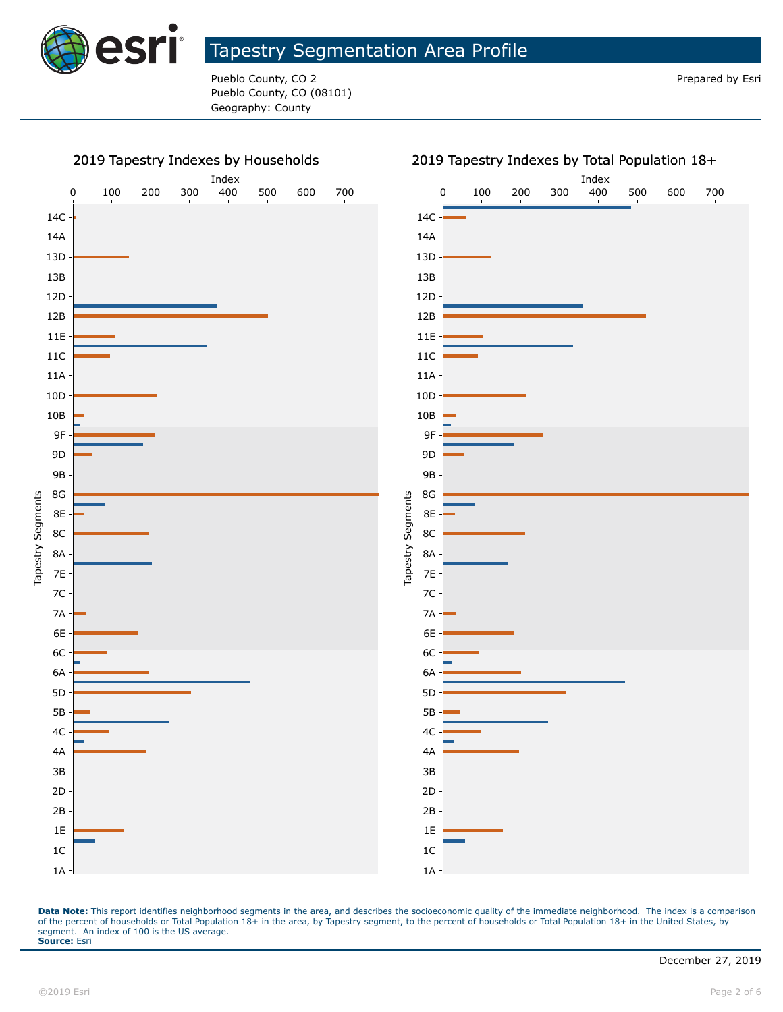

Pueblo County, CO 2 **Prepared by Esri** Pueblo County, CO 2 **Prepared by Esri** Pueblo County, CO (08101) Geography: County



#### 2019 Tapestry Indexes by Total Population 18+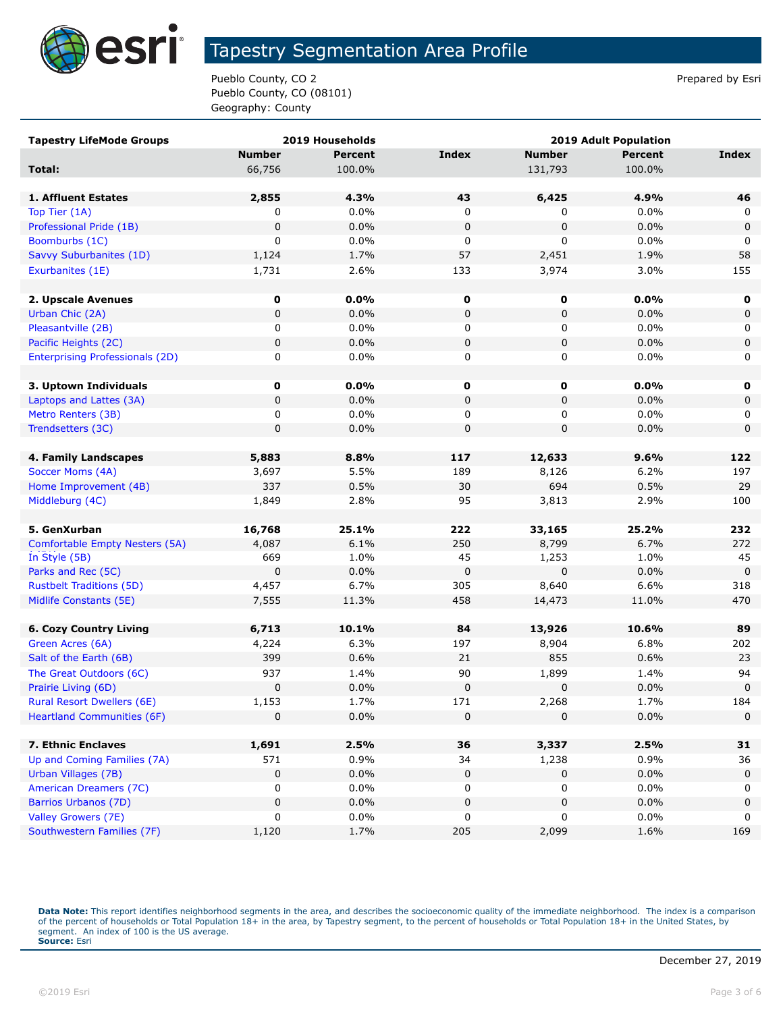

Pueblo County, CO 2 Prepared by Esri Pueblo County, CO (08101) Geography: County

| <b>Tapestry LifeMode Groups</b>                       |               | 2019 Households | <b>2019 Adult Population</b> |                      |                |                   |
|-------------------------------------------------------|---------------|-----------------|------------------------------|----------------------|----------------|-------------------|
|                                                       | <b>Number</b> | <b>Percent</b>  | <b>Index</b>                 | <b>Number</b>        | <b>Percent</b> | <b>Index</b>      |
| Total:                                                | 66,756        | 100.0%          |                              | 131,793              | 100.0%         |                   |
|                                                       |               |                 |                              |                      |                |                   |
| 1. Affluent Estates                                   | 2,855         | 4.3%            | 43                           | 6,425                | 4.9%           | 46                |
| Top Tier (1A)                                         | 0             | 0.0%            | 0                            | 0                    | $0.0\%$        | 0                 |
| Professional Pride (1B)                               | 0             | 0.0%            | $\pmb{0}$                    | 0                    | 0.0%           | $\mathbf 0$       |
| Boomburbs (1C)                                        | 0             | 0.0%            | 0                            | 0                    | $0.0\%$        | 0                 |
| Savvy Suburbanites (1D)                               | 1,124         | 1.7%            | 57                           | 2,451                | 1.9%           | 58                |
| Exurbanites (1E)                                      | 1,731         | 2.6%            | 133                          | 3,974                | 3.0%           | 155               |
|                                                       |               |                 |                              |                      |                |                   |
| 2. Upscale Avenues                                    | 0             | 0.0%            | 0                            | 0                    | $0.0\%$        | 0                 |
| Urban Chic (2A)                                       | 0             | 0.0%            | $\mathbf 0$                  | 0                    | 0.0%           | $\mathbf 0$       |
| Pleasantville (2B)                                    | 0             | 0.0%            | 0                            | 0                    | $0.0\%$        | 0                 |
| Pacific Heights (2C)                                  | 0             | 0.0%            | $\mathbf 0$                  | 0                    | 0.0%           | $\mathbf 0$       |
| <b>Enterprising Professionals (2D)</b>                | 0             | 0.0%            | 0                            | 0                    | $0.0\%$        | 0                 |
|                                                       |               |                 |                              |                      |                |                   |
| 3. Uptown Individuals                                 | 0             | $0.0\%$         | 0                            | 0                    | $0.0\%$        | 0                 |
| Laptops and Lattes (3A)                               | 0             | 0.0%            | 0                            | 0                    | 0.0%           | 0                 |
| Metro Renters (3B)                                    | 0             | 0.0%            | 0                            | 0                    | $0.0\%$        | 0                 |
| Trendsetters (3C)                                     | 0             | 0.0%            | $\mathsf 0$                  | 0                    | 0.0%           | $\mathbf 0$       |
|                                                       |               |                 |                              |                      |                |                   |
| 4. Family Landscapes                                  | 5,883         | 8.8%            | 117                          | 12,633               | 9.6%           | 122               |
| Soccer Moms (4A)                                      | 3,697         | 5.5%            | 189                          | 8,126                | 6.2%           | 197               |
| Home Improvement (4B)                                 | 337           | 0.5%            | 30                           | 694                  | 0.5%           | 29                |
| Middleburg (4C)                                       | 1,849         | 2.8%            | 95                           | 3,813                | 2.9%           | 100               |
|                                                       |               |                 |                              |                      |                |                   |
| 5. GenXurban                                          | 16,768        | 25.1%           | 222                          | 33,165               | 25.2%          | 232               |
| Comfortable Empty Nesters (5A)                        | 4,087         | 6.1%            | 250                          | 8,799                | 6.7%           | 272               |
| In Style (5B)                                         | 669<br>0      | 1.0%<br>0.0%    | 45<br>$\mathbf 0$            | 1,253<br>$\mathbf 0$ | 1.0%<br>0.0%   | 45<br>$\mathbf 0$ |
| Parks and Rec (5C)<br><b>Rustbelt Traditions (5D)</b> | 4,457         | 6.7%            | 305                          | 8,640                | 6.6%           | 318               |
| Midlife Constants (5E)                                | 7,555         | 11.3%           | 458                          | 14,473               | 11.0%          | 470               |
|                                                       |               |                 |                              |                      |                |                   |
| <b>6. Cozy Country Living</b>                         | 6,713         | 10.1%           | 84                           | 13,926               | 10.6%          | 89                |
| Green Acres (6A)                                      | 4,224         | 6.3%            | 197                          | 8,904                | 6.8%           | 202               |
| Salt of the Earth (6B)                                | 399           | 0.6%            | 21                           | 855                  | 0.6%           | 23                |
| The Great Outdoors (6C)                               | 937           | 1.4%            | 90                           | 1,899                | 1.4%           | 94                |
| Prairie Living (6D)                                   | 0             | 0.0%            | $\pmb{0}$                    | 0                    | 0.0%           | $\mathbf 0$       |
| <b>Rural Resort Dwellers (6E)</b>                     | 1,153         | 1.7%            | 171                          | 2,268                | 1.7%           | 184               |
| <b>Heartland Communities (6F)</b>                     | 0             | 0.0%            | $\pmb{0}$                    | 0                    | 0.0%           | 0                 |
|                                                       |               |                 |                              |                      |                |                   |
| 7. Ethnic Enclaves                                    | 1,691         | 2.5%            | 36                           | 3,337                | 2.5%           | 31                |
| Up and Coming Families (7A)                           | 571           | 0.9%            | 34                           | 1,238                | 0.9%           | 36                |
| Urban Villages (7B)                                   | 0             | 0.0%            | $\pmb{0}$                    | 0                    | 0.0%           | $\mathbf 0$       |
| American Dreamers (7C)                                | 0             | 0.0%            | 0                            | 0                    | 0.0%           | 0                 |
| Barrios Urbanos (7D)                                  | 0             | 0.0%            | $\pmb{0}$                    | 0                    | 0.0%           | 0                 |
| Valley Growers (7E)                                   | 0             | 0.0%            | 0                            | 0                    | 0.0%           | 0                 |
| Southwestern Families (7F)                            | 1,120         | 1.7%            | 205                          | 2,099                | 1.6%           | 169               |
|                                                       |               |                 |                              |                      |                |                   |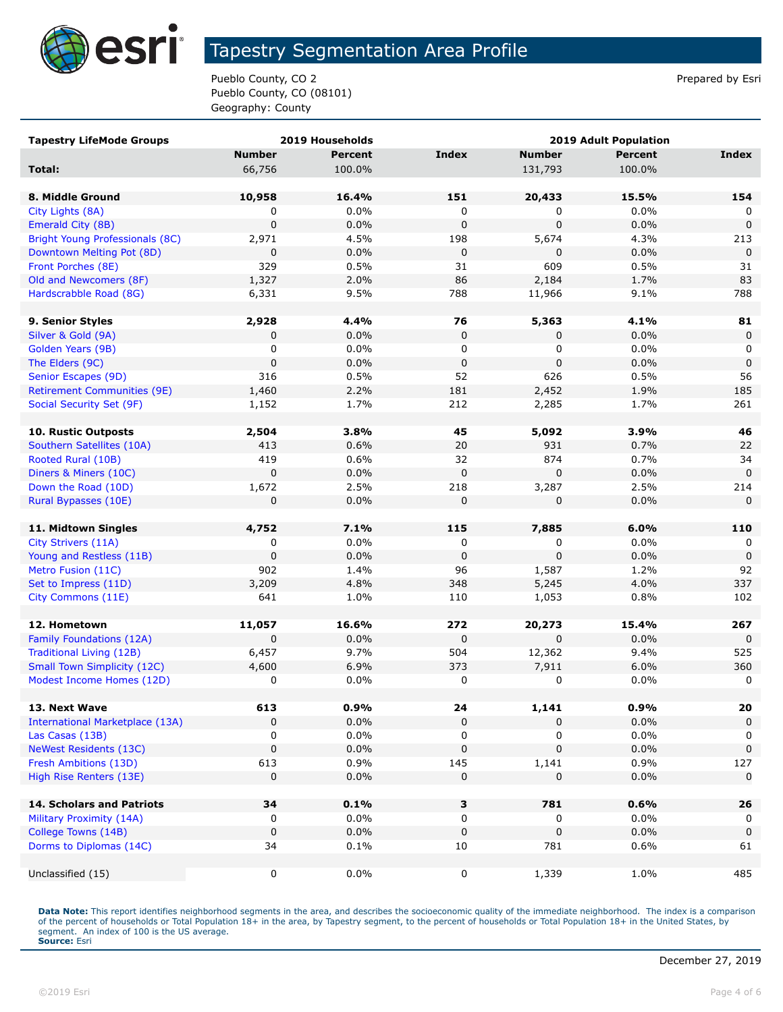

Pueblo County, CO 2 Prepared by Esri Pueblo County, CO (08101) Geography: County

| <b>Tapestry LifeMode Groups</b>                  |                  | 2019 Households | <b>2019 Adult Population</b> |               |                |                    |
|--------------------------------------------------|------------------|-----------------|------------------------------|---------------|----------------|--------------------|
|                                                  | <b>Number</b>    | <b>Percent</b>  | <b>Index</b>                 | <b>Number</b> | <b>Percent</b> | <b>Index</b>       |
| Total:                                           | 66,756           | 100.0%          |                              | 131,793       | 100.0%         |                    |
|                                                  |                  |                 |                              |               |                |                    |
| 8. Middle Ground                                 | 10,958           | 16.4%           | 151                          | 20,433        | 15.5%          | 154                |
| City Lights (8A)                                 | 0                | $0.0\%$         | 0                            | 0             | $0.0\%$        |                    |
| Emerald City (8B)                                | $\mathbf 0$      | 0.0%            | $\mathbf 0$                  | $\mathbf 0$   | 0.0%           | $\Omega$           |
| Bright Young Professionals (8C)                  | 2,971            | 4.5%            | 198                          | 5,674         | 4.3%           | 213                |
| Downtown Melting Pot (8D)                        | 0                | 0.0%            | 0                            | 0             | 0.0%           | 0                  |
| Front Porches (8E)                               | 329              | 0.5%            | 31                           | 609           | 0.5%           | 31                 |
| Old and Newcomers (8F)                           | 1,327            | 2.0%            | 86                           | 2,184         | 1.7%           | 83                 |
| Hardscrabble Road (8G)                           | 6,331            | 9.5%            | 788                          | 11,966        | 9.1%           | 788                |
|                                                  |                  |                 |                              |               |                |                    |
| 9. Senior Styles                                 | 2,928            | 4.4%            | 76                           | 5,363         | 4.1%           | 81                 |
| Silver & Gold (9A)                               | 0                | 0.0%            | 0                            | 0             | 0.0%           | 0                  |
| Golden Years (9B)                                | 0                | 0.0%            | 0                            | 0             | 0.0%           | 0                  |
| The Elders (9C)                                  | $\mathbf 0$      | 0.0%            | $\mathbf 0$                  | $\mathbf 0$   | 0.0%           | $\mathbf 0$        |
| Senior Escapes (9D)                              | 316              | 0.5%            | 52                           | 626           | 0.5%           | 56                 |
| <b>Retirement Communities (9E)</b>               | 1,460            | 2.2%            | 181                          | 2,452         | 1.9%           | 185                |
| Social Security Set (9F)                         | 1,152            | 1.7%            | 212                          | 2,285         | 1.7%           | 261                |
|                                                  |                  |                 |                              |               |                |                    |
| <b>10. Rustic Outposts</b>                       | 2,504            | 3.8%            | 45                           | 5,092         | 3.9%           | 46                 |
| Southern Satellites (10A)                        | 413              | 0.6%            | 20                           | 931           | 0.7%           | 22                 |
| Rooted Rural (10B)                               | 419              | 0.6%            | 32                           | 874           | 0.7%           | 34                 |
| Diners & Miners (10C)                            | 0                | 0.0%            | $\mathbf 0$                  | 0             | 0.0%           | $\overline{0}$     |
| Down the Road (10D)                              | 1,672            | 2.5%            | 218                          | 3,287         | 2.5%           | 214                |
| Rural Bypasses (10E)                             | 0                | 0.0%            | 0                            | $\mathbf 0$   | 0.0%           | $\mathbf{0}$       |
|                                                  |                  |                 |                              |               |                |                    |
| 11. Midtown Singles                              | 4,752            | 7.1%            | 115                          | 7,885         | 6.0%           | 110                |
| City Strivers (11A)                              | 0                | $0.0\%$         | 0                            | 0             | 0.0%           | 0                  |
| Young and Restless (11B)                         | 0                | 0.0%            | $\Omega$                     | $\mathbf 0$   | 0.0%           | $\mathbf 0$        |
| Metro Fusion (11C)                               | 902              | 1.4%            | 96                           | 1,587         | 1.2%           | 92                 |
| Set to Impress (11D)                             | 3,209            | 4.8%            | 348                          | 5,245         | 4.0%           | 337                |
| City Commons (11E)                               | 641              | 1.0%            | 110                          | 1,053         | 0.8%           | 102                |
|                                                  |                  |                 |                              |               |                |                    |
| 12. Hometown                                     | 11,057           | 16.6%           | 272                          | 20,273        | 15.4%          | 267                |
| Family Foundations (12A)                         | $\mathbf 0$      | 0.0%            | $\mathbf 0$                  | $\Omega$      | 0.0%           | $\Omega$           |
| Traditional Living (12B)                         | 6,457            | 9.7%            | 504                          | 12,362        | 9.4%           | 525                |
| <b>Small Town Simplicity (12C)</b>               | 4,600            | 6.9%            | 373                          | 7,911         | 6.0%           | 360                |
| Modest Income Homes (12D)                        | 0                | 0.0%            | 0                            | 0             | 0.0%           | 0                  |
| 13. Next Wave                                    | 613              | 0.9%            |                              | 1,141         | 0.9%           |                    |
| <b>International Marketplace (13A)</b>           | 0                | 0.0%            | 24<br>0                      | $\Omega$      | 0.0%           | 20<br>0            |
| Las Casas (13B)                                  |                  | $0.0\%$         |                              |               | 0.0%           |                    |
| <b>NeWest Residents (13C)</b>                    | 0<br>0           | 0.0%            | 0<br>0                       | 0<br>0        | 0.0%           | 0<br>0             |
|                                                  |                  |                 |                              |               |                |                    |
| Fresh Ambitions (13D)<br>High Rise Renters (13E) | 613<br>$\pmb{0}$ | 0.9%            | 145                          | 1,141         | 0.9%<br>0.0%   | 127<br>$\mathbf 0$ |
|                                                  |                  | 0.0%            | 0                            | 0             |                |                    |
| <b>14. Scholars and Patriots</b>                 | 34               | 0.1%            | З                            | 781           | 0.6%           | 26                 |
| Military Proximity (14A)                         | 0                | $0.0\%$         | 0                            | 0             | 0.0%           | 0                  |
| College Towns (14B)                              | 0                | 0.0%            | $\mathbf 0$                  | $\mathbf 0$   | 0.0%           | 0                  |
| Dorms to Diplomas (14C)                          | 34               | 0.1%            | 10                           | 781           | 0.6%           | 61                 |
|                                                  |                  |                 |                              |               |                |                    |
| Unclassified (15)                                | 0                | $0.0\%$         | 0                            | 1,339         | 1.0%           | 485                |
|                                                  |                  |                 |                              |               |                |                    |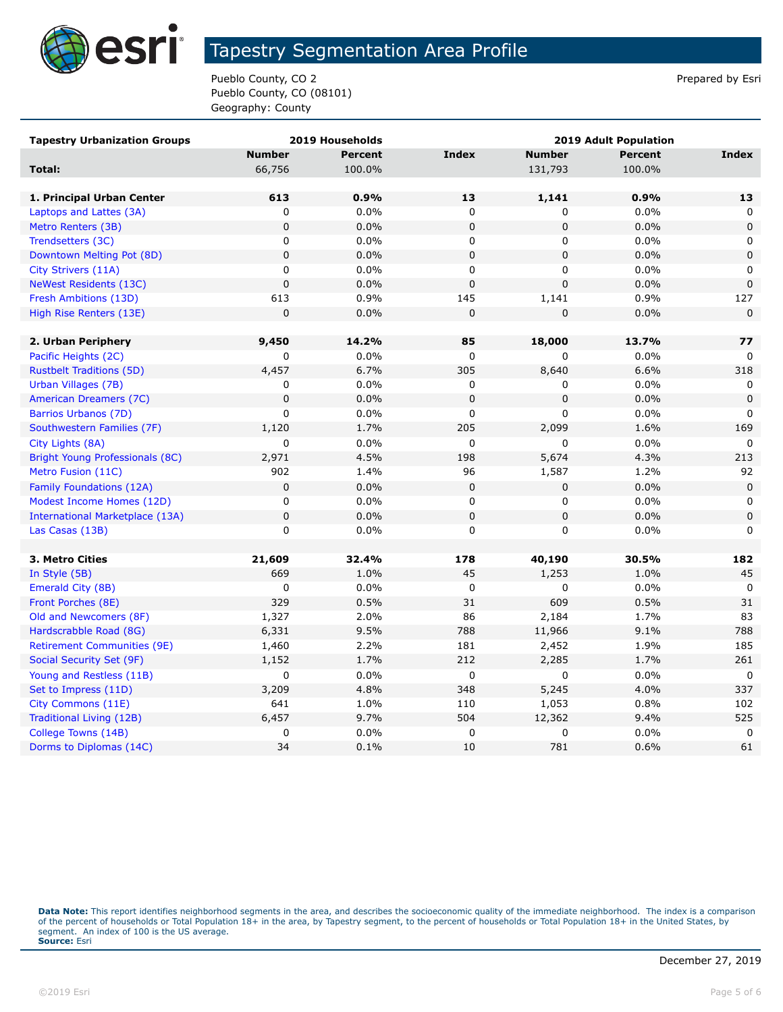

Pueblo County, CO 2 Prepared by Esri Pueblo County, CO (08101) Geography: County

| <b>Tapestry Urbanization Groups</b>    |               | 2019 Households | <b>2019 Adult Population</b> |               |                |              |
|----------------------------------------|---------------|-----------------|------------------------------|---------------|----------------|--------------|
|                                        | <b>Number</b> | Percent         | <b>Index</b>                 | <b>Number</b> | <b>Percent</b> | Index        |
| Total:                                 | 66,756        | 100.0%          |                              | 131,793       | 100.0%         |              |
|                                        |               |                 |                              |               |                |              |
| 1. Principal Urban Center              | 613           | 0.9%            | 13                           | 1,141         | 0.9%           | 13           |
| Laptops and Lattes (3A)                | 0             | 0.0%            | 0                            | 0             | 0.0%           | 0            |
| Metro Renters (3B)                     | $\mathbf 0$   | 0.0%            | $\mathbf 0$                  | 0             | 0.0%           | $\mathbf 0$  |
| Trendsetters (3C)                      | 0             | 0.0%            | $\mathbf 0$                  | 0             | 0.0%           | $\mathbf{0}$ |
| Downtown Melting Pot (8D)              | $\pmb{0}$     | 0.0%            | $\pmb{0}$                    | 0             | 0.0%           | $\mathbf 0$  |
| City Strivers (11A)                    | 0             | 0.0%            | 0                            | 0             | 0.0%           | 0            |
| <b>NeWest Residents (13C)</b>          | $\mathbf 0$   | 0.0%            | $\pmb{0}$                    | 0             | 0.0%           | $\mathbf 0$  |
| Fresh Ambitions (13D)                  | 613           | 0.9%            | 145                          | 1,141         | 0.9%           | 127          |
| High Rise Renters (13E)                | $\mathbf 0$   | 0.0%            | $\mathbf 0$                  | 0             | 0.0%           | $\mathsf 0$  |
|                                        |               |                 |                              |               |                |              |
| 2. Urban Periphery                     | 9,450         | 14.2%           | 85                           | 18,000        | 13.7%          | 77           |
| Pacific Heights (2C)                   | $\mathbf 0$   | $0.0\%$         | 0                            | 0             | 0.0%           | $\Omega$     |
| <b>Rustbelt Traditions (5D)</b>        | 4,457         | 6.7%            | 305                          | 8,640         | 6.6%           | 318          |
| Urban Villages (7B)                    | 0             | 0.0%            | 0                            | 0             | 0.0%           | 0            |
| American Dreamers (7C)                 | $\mathbf 0$   | 0.0%            | $\mathbf 0$                  | 0             | 0.0%           | $\Omega$     |
| Barrios Urbanos (7D)                   | 0             | 0.0%            | 0                            | 0             | 0.0%           | 0            |
| Southwestern Families (7F)             | 1,120         | 1.7%            | 205                          | 2,099         | 1.6%           | 169          |
| City Lights (8A)                       | $\mathbf 0$   | 0.0%            | $\mathbf 0$                  | 0             | 0.0%           | $\Omega$     |
| Bright Young Professionals (8C)        | 2,971         | 4.5%            | 198                          | 5,674         | 4.3%           | 213          |
| Metro Fusion (11C)                     | 902           | 1.4%            | 96                           | 1,587         | 1.2%           | 92           |
| <b>Family Foundations (12A)</b>        | $\mathbf 0$   | 0.0%            | $\mathbf 0$                  | 0             | 0.0%           | $\mathbf 0$  |
| Modest Income Homes (12D)              | 0             | 0.0%            | $\mathbf 0$                  | 0             | 0.0%           | 0            |
| <b>International Marketplace (13A)</b> | $\pmb{0}$     | 0.0%            | $\mathbf 0$                  | 0             | 0.0%           | $\pmb{0}$    |
| Las Casas (13B)                        | $\mathbf 0$   | 0.0%            | $\mathbf 0$                  | 0             | 0.0%           | $\mathbf 0$  |
|                                        |               |                 |                              |               |                |              |
| 3. Metro Cities                        | 21,609        | 32.4%           | 178                          | 40,190        | 30.5%          | 182          |
| In Style (5B)                          | 669           | 1.0%            | 45                           | 1,253         | 1.0%           | 45           |
| Emerald City (8B)                      | 0             | 0.0%            | 0                            | 0             | 0.0%           | $\mathbf 0$  |
| Front Porches (8E)                     | 329           | 0.5%            | 31                           | 609           | 0.5%           | 31           |
| Old and Newcomers (8F)                 | 1,327         | 2.0%            | 86                           | 2,184         | 1.7%           | 83           |
| Hardscrabble Road (8G)                 | 6,331         | 9.5%            | 788                          | 11,966        | 9.1%           | 788          |
| <b>Retirement Communities (9E)</b>     | 1,460         | 2.2%            | 181                          | 2,452         | 1.9%           | 185          |
| Social Security Set (9F)               | 1,152         | 1.7%            | 212                          | 2,285         | 1.7%           | 261          |
| Young and Restless (11B)               | $\mathbf 0$   | 0.0%            | $\pmb{0}$                    | 0             | 0.0%           | $\mathbf 0$  |
| Set to Impress (11D)                   | 3,209         | 4.8%            | 348                          | 5,245         | 4.0%           | 337          |
| City Commons (11E)                     | 641           | 1.0%            | 110                          | 1,053         | 0.8%           | 102          |
| Traditional Living (12B)               | 6,457         | 9.7%            | 504                          | 12,362        | 9.4%           | 525          |
| College Towns (14B)                    | 0             | $0.0\%$         | $\mathbf 0$                  | 0             | 0.0%           | 0            |
| Dorms to Diplomas (14C)                | 34            | 0.1%            | 10                           | 781           | 0.6%           | 61           |